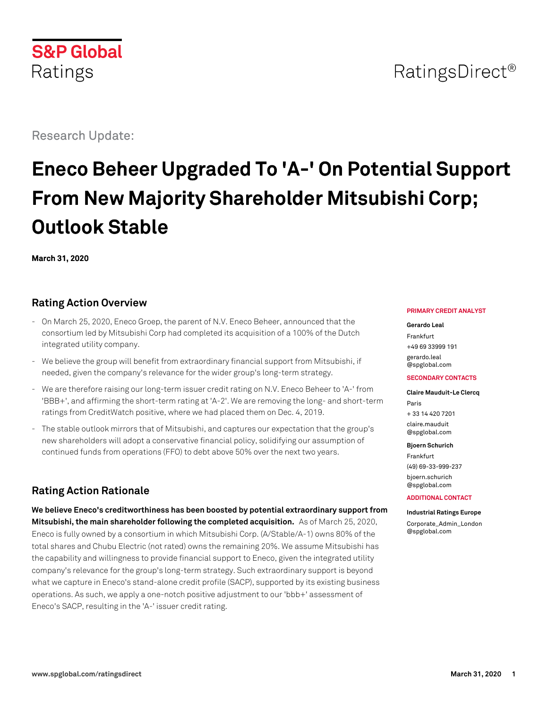# RatingsDirect<sup>®</sup>

Research Update:

**S&P Global** 

Ratings

# **Eneco Beheer Upgraded To 'A-' On Potential Support From New Majority Shareholder Mitsubishi Corp; Outlook Stable**

**March 31, 2020**

# **Rating Action Overview**

- On March 25, 2020, Eneco Groep, the parent of N.V. Eneco Beheer, announced that the consortium led by Mitsubishi Corp had completed its acquisition of a 100% of the Dutch integrated utility company.
- We believe the group will benefit from extraordinary financial support from Mitsubishi, if needed, given the company's relevance for the wider group's long-term strategy.
- We are therefore raising our long-term issuer credit rating on N.V. Eneco Beheer to 'A-' from 'BBB+', and affirming the short-term rating at 'A-2'. We are removing the long- and short-term ratings from CreditWatch positive, where we had placed them on Dec. 4, 2019.
- The stable outlook mirrors that of Mitsubishi, and captures our expectation that the group's new shareholders will adopt a conservative financial policy, solidifying our assumption of continued funds from operations (FFO) to debt above 50% over the next two years.

# **Rating Action Rationale**

**We believe Eneco's creditworthiness has been boosted by potential extraordinary support from Mitsubishi, the main shareholder following the completed acquisition.** As of March 25, 2020, Eneco is fully owned by a consortium in which Mitsubishi Corp. (A/Stable/A-1) owns 80% of the total shares and Chubu Electric (not rated) owns the remaining 20%. We assume Mitsubishi has the capability and willingness to provide financial support to Eneco, given the integrated utility company's relevance for the group's long-term strategy. Such extraordinary support is beyond what we capture in Eneco's stand-alone credit profile (SACP), supported by its existing business operations. As such, we apply a one-notch positive adjustment to our 'bbb+' assessment of Eneco's SACP, resulting in the 'A-' issuer credit rating.

#### **PRIMARY CREDIT ANALYST**

**Gerardo Leal** Frankfurt +49 69 33999 191

[gerardo.leal](mailto:gerardo.leal@spglobal.com) [@spglobal.com](mailto:gerardo.leal@spglobal.com)

### **SECONDARY CONTACTS**

**Claire Mauduit-Le Clercq** Paris + 33 14 420 7201 [claire.mauduit](mailto:claire.mauduit@spglobal.com) [@spglobal.com](mailto:claire.mauduit@spglobal.com)

#### **Bjoern Schurich**

Frankfurt (49) 69-33-999-237 [bjoern.schurich](mailto:bjoern.schurich@spglobal.com) [@spglobal.com](mailto:bjoern.schurich@spglobal.com)

**ADDITIONAL CONTACT**

**Industrial Ratings Europe** [Corporate\\_Admin\\_London](mailto:Corporate_Admin_London@spglobal.com) [@spglobal.com](mailto:Corporate_Admin_London@spglobal.com)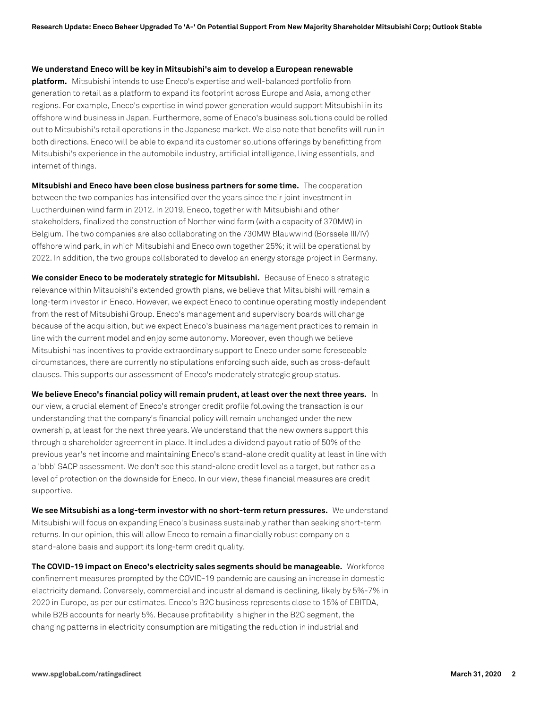#### **We understand Eneco will be key in Mitsubishi's aim to develop a European renewable**

**platform.** Mitsubishi intends to use Eneco's expertise and well-balanced portfolio from generation to retail as a platform to expand its footprint across Europe and Asia, among other regions. For example, Eneco's expertise in wind power generation would support Mitsubishi in its offshore wind business in Japan. Furthermore, some of Eneco's business solutions could be rolled out to Mitsubishi's retail operations in the Japanese market. We also note that benefits will run in both directions. Eneco will be able to expand its customer solutions offerings by benefitting from Mitsubishi's experience in the automobile industry, artificial intelligence, living essentials, and internet of things.

**Mitsubishi and Eneco have been close business partners for some time.** The cooperation between the two companies has intensified over the years since their joint investment in Luctherduinen wind farm in 2012. In 2019, Eneco, together with Mitsubishi and other stakeholders, finalized the construction of Norther wind farm (with a capacity of 370MW) in Belgium. The two companies are also collaborating on the 730MW Blauwwind (Borssele III/IV) offshore wind park, in which Mitsubishi and Eneco own together 25%; it will be operational by 2022. In addition, the two groups collaborated to develop an energy storage project in Germany.

**We consider Eneco to be moderately strategic for Mitsubishi.** Because of Eneco's strategic relevance within Mitsubishi's extended growth plans, we believe that Mitsubishi will remain a long-term investor in Eneco. However, we expect Eneco to continue operating mostly independent from the rest of Mitsubishi Group. Eneco's management and supervisory boards will change because of the acquisition, but we expect Eneco's business management practices to remain in line with the current model and enjoy some autonomy. Moreover, even though we believe Mitsubishi has incentives to provide extraordinary support to Eneco under some foreseeable circumstances, there are currently no stipulations enforcing such aide, such as cross-default clauses. This supports our assessment of Eneco's moderately strategic group status.

**We believe Eneco's financial policy will remain prudent, at least over the next three years.** In our view, a crucial element of Eneco's stronger credit profile following the transaction is our understanding that the company's financial policy will remain unchanged under the new ownership, at least for the next three years. We understand that the new owners support this through a shareholder agreement in place. It includes a dividend payout ratio of 50% of the previous year's net income and maintaining Eneco's stand-alone credit quality at least in line with a 'bbb' SACP assessment. We don't see this stand-alone credit level as a target, but rather as a level of protection on the downside for Eneco. In our view, these financial measures are credit supportive.

**We see Mitsubishi as a long-term investor with no short-term return pressures.** We understand Mitsubishi will focus on expanding Eneco's business sustainably rather than seeking short-term returns. In our opinion, this will allow Eneco to remain a financially robust company on a stand-alone basis and support its long-term credit quality.

**The COVID-19 impact on Eneco's electricity sales segments should be manageable.** Workforce confinement measures prompted by the COVID-19 pandemic are causing an increase in domestic electricity demand. Conversely, commercial and industrial demand is declining, likely by 5%-7% in 2020 in Europe, as per our estimates. Eneco's B2C business represents close to 15% of EBITDA, while B2B accounts for nearly 5%. Because profitability is higher in the B2C segment, the changing patterns in electricity consumption are mitigating the reduction in industrial and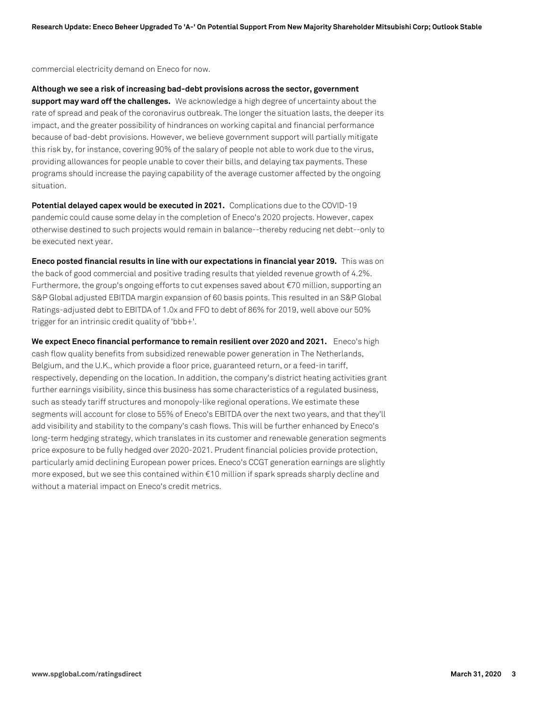commercial electricity demand on Eneco for now.

**Although we see a risk of increasing bad-debt provisions across the sector, government support may ward off the challenges.** We acknowledge a high degree of uncertainty about the rate of spread and peak of the coronavirus outbreak. The longer the situation lasts, the deeper its impact, and the greater possibility of hindrances on working capital and financial performance because of bad-debt provisions. However, we believe government support will partially mitigate this risk by, for instance, covering 90% of the salary of people not able to work due to the virus, providing allowances for people unable to cover their bills, and delaying tax payments. These programs should increase the paying capability of the average customer affected by the ongoing situation.

**Potential delayed capex would be executed in 2021.** Complications due to the COVID-19 pandemic could cause some delay in the completion of Eneco's 2020 projects. However, capex otherwise destined to such projects would remain in balance--thereby reducing net debt--only to be executed next year.

**Eneco posted financial results in line with our expectations in financial year 2019.** This was on the back of good commercial and positive trading results that yielded revenue growth of 4.2%. Furthermore, the group's ongoing efforts to cut expenses saved about €70 million, supporting an S&P Global adjusted EBITDA margin expansion of 60 basis points. This resulted in an S&P Global Ratings-adjusted debt to EBITDA of 1.0x and FFO to debt of 86% for 2019, well above our 50% trigger for an intrinsic credit quality of 'bbb+'.

**We expect Eneco financial performance to remain resilient over 2020 and 2021.** Eneco's high cash flow quality benefits from subsidized renewable power generation in The Netherlands, Belgium, and the U.K., which provide a floor price, guaranteed return, or a feed-in tariff, respectively, depending on the location. In addition, the company's district heating activities grant further earnings visibility, since this business has some characteristics of a regulated business, such as steady tariff structures and monopoly-like regional operations. We estimate these segments will account for close to 55% of Eneco's EBITDA over the next two years, and that they'll add visibility and stability to the company's cash flows. This will be further enhanced by Eneco's long-term hedging strategy, which translates in its customer and renewable generation segments price exposure to be fully hedged over 2020-2021. Prudent financial policies provide protection, particularly amid declining European power prices. Eneco's CCGT generation earnings are slightly more exposed, but we see this contained within €10 million if spark spreads sharply decline and without a material impact on Eneco's credit metrics.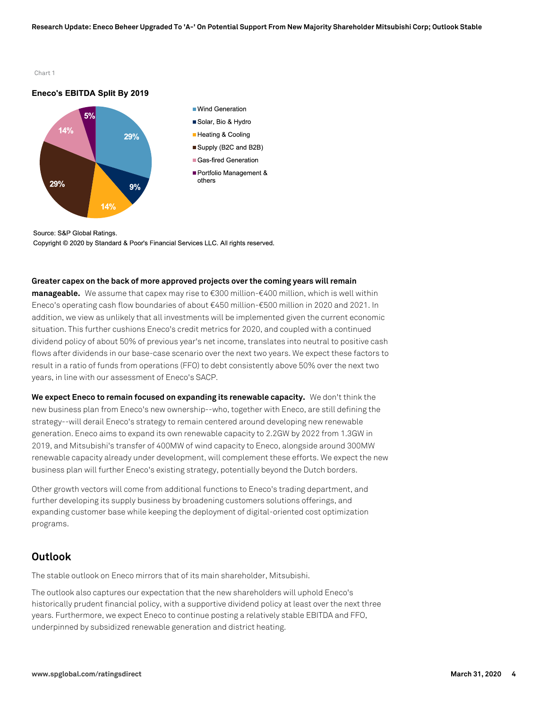Chart 1

### Eneco's EBITDA Split By 2019



Source: S&P Global Ratings. Copyright © 2020 by Standard & Poor's Financial Services LLC. All rights reserved.

#### **Greater capex on the back of more approved projects over the coming years will remain**

**manageable.** We assume that capex may rise to €300 million-€400 million, which is well within Eneco's operating cash flow boundaries of about €450 million-€500 million in 2020 and 2021. In addition, we view as unlikely that all investments will be implemented given the current economic situation. This further cushions Eneco's credit metrics for 2020, and coupled with a continued dividend policy of about 50% of previous year's net income, translates into neutral to positive cash flows after dividends in our base-case scenario over the next two years. We expect these factors to result in a ratio of funds from operations (FFO) to debt consistently above 50% over the next two years, in line with our assessment of Eneco's SACP.

**We expect Eneco to remain focused on expanding its renewable capacity.** We don't think the new business plan from Eneco's new ownership--who, together with Eneco, are still defining the strategy--will derail Eneco's strategy to remain centered around developing new renewable generation. Eneco aims to expand its own renewable capacity to 2.2GW by 2022 from 1.3GW in 2019, and Mitsubishi's transfer of 400MW of wind capacity to Eneco, alongside around 300MW renewable capacity already under development, will complement these efforts. We expect the new business plan will further Eneco's existing strategy, potentially beyond the Dutch borders.

Other growth vectors will come from additional functions to Eneco's trading department, and further developing its supply business by broadening customers solutions offerings, and expanding customer base while keeping the deployment of digital-oriented cost optimization programs.

## **Outlook**

The stable outlook on Eneco mirrors that of its main shareholder, Mitsubishi.

The outlook also captures our expectation that the new shareholders will uphold Eneco's historically prudent financial policy, with a supportive dividend policy at least over the next three years. Furthermore, we expect Eneco to continue posting a relatively stable EBITDA and FFO, underpinned by subsidized renewable generation and district heating.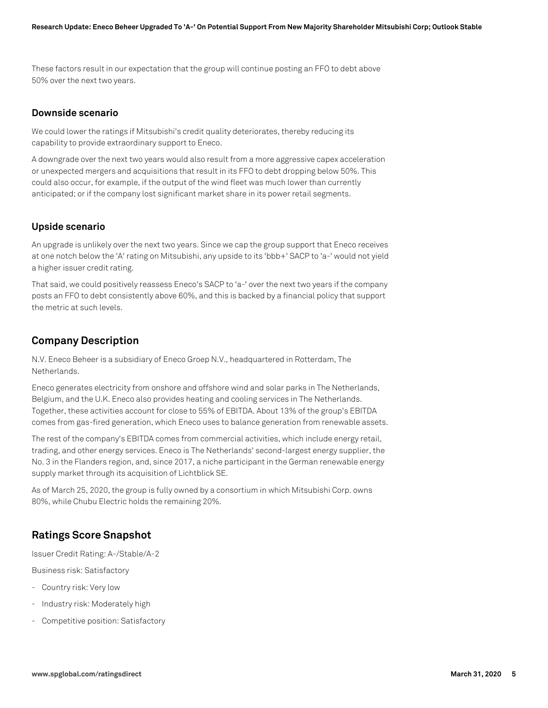These factors result in our expectation that the group will continue posting an FFO to debt above 50% over the next two years.

## **Downside scenario**

We could lower the ratings if Mitsubishi's credit quality deteriorates, thereby reducing its capability to provide extraordinary support to Eneco.

A downgrade over the next two years would also result from a more aggressive capex acceleration or unexpected mergers and acquisitions that result in its FFO to debt dropping below 50%. This could also occur, for example, if the output of the wind fleet was much lower than currently anticipated; or if the company lost significant market share in its power retail segments.

## **Upside scenario**

An upgrade is unlikely over the next two years. Since we cap the group support that Eneco receives at one notch below the 'A' rating on Mitsubishi, any upside to its 'bbb+' SACP to 'a-' would not yield a higher issuer credit rating.

That said, we could positively reassess Eneco's SACP to 'a-' over the next two years if the company posts an FFO to debt consistently above 60%, and this is backed by a financial policy that support the metric at such levels.

## **Company Description**

N.V. Eneco Beheer is a subsidiary of Eneco Groep N.V., headquartered in Rotterdam, The Netherlands.

Eneco generates electricity from onshore and offshore wind and solar parks in The Netherlands, Belgium, and the U.K. Eneco also provides heating and cooling services in The Netherlands. Together, these activities account for close to 55% of EBITDA. About 13% of the group's EBITDA comes from gas-fired generation, which Eneco uses to balance generation from renewable assets.

The rest of the company's EBITDA comes from commercial activities, which include energy retail, trading, and other energy services. Eneco is The Netherlands' second-largest energy supplier, the No. 3 in the Flanders region, and, since 2017, a niche participant in the German renewable energy supply market through its acquisition of Lichtblick SE.

As of March 25, 2020, the group is fully owned by a consortium in which Mitsubishi Corp. owns 80%, while Chubu Electric holds the remaining 20%.

## **Ratings Score Snapshot**

Issuer Credit Rating: A-/Stable/A-2

Business risk: Satisfactory

- Country risk: Very low
- Industry risk: Moderately high
- Competitive position: Satisfactory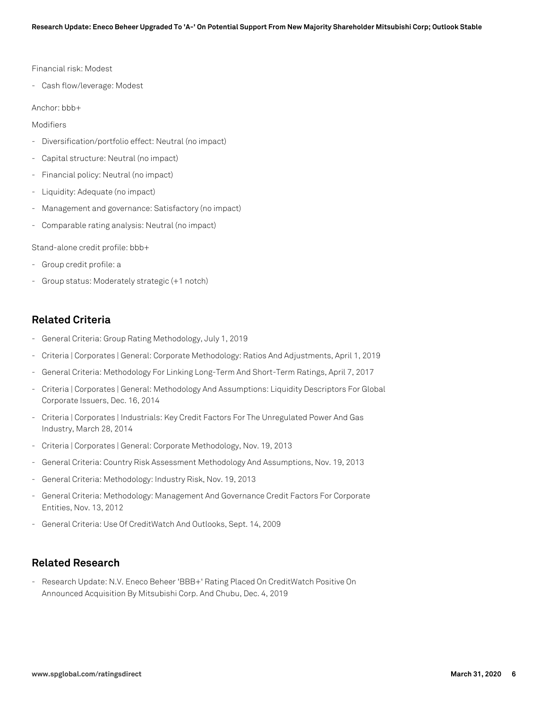#### Financial risk: Modest

- Cash flow/leverage: Modest

#### Anchor: bbb+

Modifiers

- Diversification/portfolio effect: Neutral (no impact)
- Capital structure: Neutral (no impact)
- Financial policy: Neutral (no impact)
- Liquidity: Adequate (no impact)
- Management and governance: Satisfactory (no impact)
- Comparable rating analysis: Neutral (no impact)

Stand-alone credit profile: bbb+

- Group credit profile: a
- Group status: Moderately strategic (+1 notch)

## **Related Criteria**

- General Criteria: Group Rating Methodology, July 1, 2019
- Criteria | Corporates | General: Corporate Methodology: Ratios And Adjustments, April 1, 2019
- General Criteria: Methodology For Linking Long-Term And Short-Term Ratings, April 7, 2017
- Criteria | Corporates | General: Methodology And Assumptions: Liquidity Descriptors For Global Corporate Issuers, Dec. 16, 2014
- Criteria | Corporates | Industrials: Key Credit Factors For The Unregulated Power And Gas Industry, March 28, 2014
- Criteria | Corporates | General: Corporate Methodology, Nov. 19, 2013
- General Criteria: Country Risk Assessment Methodology And Assumptions, Nov. 19, 2013
- General Criteria: Methodology: Industry Risk, Nov. 19, 2013
- General Criteria: Methodology: Management And Governance Credit Factors For Corporate Entities, Nov. 13, 2012
- General Criteria: Use Of CreditWatch And Outlooks, Sept. 14, 2009

## **Related Research**

- Research Update: N.V. Eneco Beheer 'BBB+' Rating Placed On CreditWatch Positive On Announced Acquisition By Mitsubishi Corp. And Chubu, Dec. 4, 2019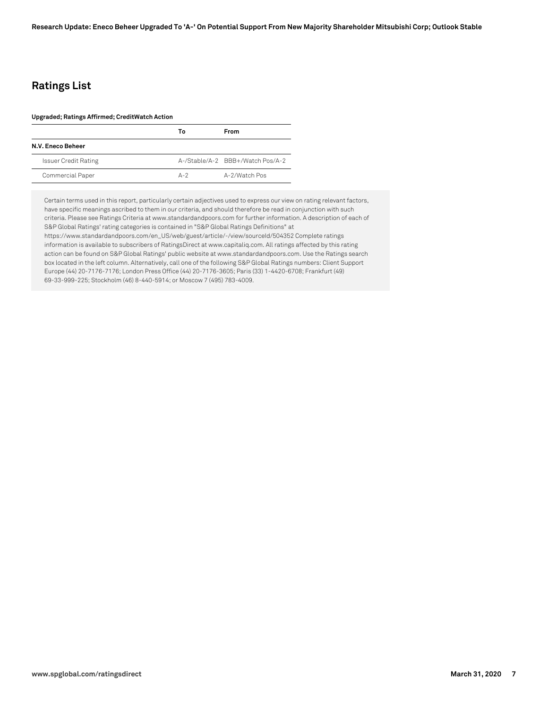# **Ratings List**

#### **Upgraded; Ratings Affirmed; CreditWatch Action**

|                             | Т٥           | From                             |
|-----------------------------|--------------|----------------------------------|
| N.V. Eneco Beheer           |              |                                  |
| <b>Issuer Credit Rating</b> |              | A-/Stable/A-2 BBB+/Watch Pos/A-2 |
| Commercial Paper            | $\Delta - 2$ | A-2/Watch Pos                    |

Certain terms used in this report, particularly certain adjectives used to express our view on rating relevant factors, have specific meanings ascribed to them in our criteria, and should therefore be read in conjunction with such criteria. Please see Ratings Criteria at www.standardandpoors.com for further information. A description of each of S&P Global Ratings' rating categories is contained in "S&P Global Ratings Definitions" at https://www.standardandpoors.com/en\_US/web/guest/article/-/view/sourceId/504352 Complete ratings information is available to subscribers of RatingsDirect at www.capitaliq.com. All ratings affected by this rating action can be found on S&P Global Ratings' public website at www.standardandpoors.com. Use the Ratings search box located in the left column. Alternatively, call one of the following S&P Global Ratings numbers: Client Support Europe (44) 20-7176-7176; London Press Office (44) 20-7176-3605; Paris (33) 1-4420-6708; Frankfurt (49) 69-33-999-225; Stockholm (46) 8-440-5914; or Moscow 7 (495) 783-4009.